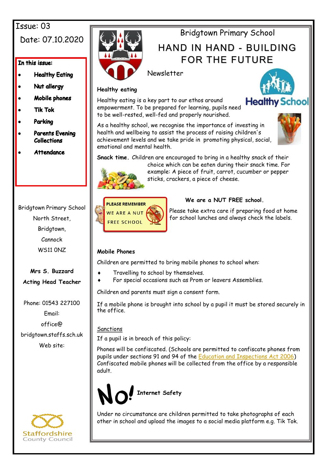## Issue: 03

## Date: 07.10.2020

#### In this issue:

- **Healthy Eating**
- Nut allergy
- Mobile phones
- **Tik Tok**
- Parkina
- **Parents Evening Collections**
- **Attendance**

Bridgtown Primary School North Street, Bridgtown, Cannock WS11 0NZ

## **Mrs S. Buzzard Acting Head Teacher**

Phone: 01543 227100 Email: office@ bridgtown.staffs.sch.uk Web site:





# Bridgtown Primary School

# HAND IN HAND - BUILDING FOR THE FUTURE

Newsletter

#### **Healthy eating**

Healthy eating is a key part to our ethos around empowerment. To be prepared for learning, pupils need to be well-rested, well-fed and properly nourished.



As a healthy school, we recognise the importance of investing in health and wellbeing to assist the process of raising children's achievement levels and we take pride in promoting physical, social, emotional and mental health.



**Snack time.** Children are encouraged to bring in a healthy snack of their



choice which can be eaten during their snack time. For example: A piece of fruit, carrot, cucumber or pepper sticks, crackers, a piece of cheese.



## **We are a NUT FREE school.**

Please take extra care if preparing food at home for school lunches and always check the labels.

## **Mobile Phones**

Children are permitted to bring mobile phones to school when:

- Travelling to school by themselves.
- For special occasions such as Prom or leavers Assemblies.

Children and parents must sign a consent form.

If a mobile phone is brought into school by a pupil it must be stored securely in the office.

## **Sanctions**

If a pupil is in breach of this policy:

Phones will be confiscated. (Schools are permitted to confiscate phones from pupils under sections 91 and 94 of the [Education and Inspections Act 2006\)](https://www.legislation.gov.uk/ukpga/2006/40/section/94) Confiscated mobile phones will be collected from the office by a responsible adult.



Under no circumstance are children permitted to take photographs of each other in school and upload the images to a social media platform e.g. Tik Tok.